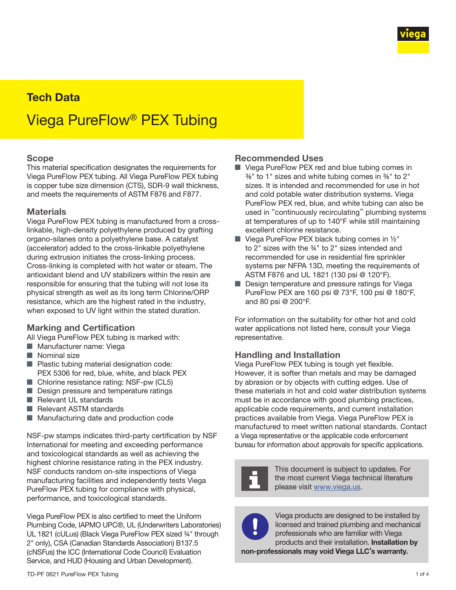

# Tech Data Viega PureFlow® PEX Tubing

#### Scope

This material specification designates the requirements for Viega PureFlow PEX tubing. All Viega PureFlow PEX tubing is copper tube size dimension (CTS), SDR-9 wall thickness, and meets the requirements of ASTM F876 and F877.

#### **Materials**

Viega PureFlow PEX tubing is manufactured from a crosslinkable, high-density polyethylene produced by grafting organo-silanes onto a polyethylene base. A catalyst (accelerator) added to the cross-linkable polyethylene during extrusion initiates the cross-linking process. Cross-linking is completed with hot water or steam. The antioxidant blend and UV stabilizers within the resin are responsible for ensuring that the tubing will not lose its physical strength as well as its long term Chlorine/ORP resistance, which are the highest rated in the industry, when exposed to UV light within the stated duration.

#### Marking and Certification

All Viega PureFlow PEX tubing is marked with:

- Manufacturer name: Viega
- Nominal size
- Plastic tubing material designation code: PEX 5306 for red, blue, white, and black PEX
- Chlorine resistance rating: NSF-pw (CL5)
- Design pressure and temperature ratings
- Relevant UL standards
- Relevant ASTM standards
- Manufacturing date and production code

NSF-pw stamps indicates third-party certification by NSF International for meeting and exceeding performance and toxicological standards as well as achieving the highest chlorine resistance rating in the PEX industry. NSF conducts random on-site inspections of Viega manufacturing facilities and independently tests Viega PureFlow PEX tubing for compliance with physical, performance, and toxicological standards.

Viega PureFlow PEX is also certified to meet the Uniform Plumbing Code, IAPMO UPC®, UL (Underwriters Laboratories) UL 1821 (cULus) (Black Viega PureFlow PEX sized ¾" through 2" only), CSA (Canadian Standards Association) B137.5 (cNSFus) the ICC (International Code Council) Evaluation Service, and HUD (Housing and Urban Development).

#### Recommended Uses

- Viega PureFlow PEX red and blue tubing comes in ⅜" to 1" sizes and white tubing comes in ⅜" to 2" sizes. It is intended and recommended for use in hot and cold potable water distribution systems. Viega PureFlow PEX red, blue, and white tubing can also be used in "continuously recirculating" plumbing systems at temperatures of up to 140°F while still maintaining excellent chlorine resistance.
- **U** Viega PureFlow PEX black tubing comes in  $\frac{1}{2}$ " to 2" sizes with the ¾" to 2" sizes intended and recommended for use in residential fire sprinkler systems per NFPA 13D, meeting the requirements of ASTM F876 and UL 1821 (130 psi @ 120°F).
- Design temperature and pressure ratings for Viega PureFlow PEX are 160 psi @ 73°F, 100 psi @ 180°F, and 80 psi @ 200°F.

For information on the suitability for other hot and cold water applications not listed here, consult your Viega representative.

#### Handling and Installation

Viega PureFlow PEX tubing is tough yet flexible. However, it is softer than metals and may be damaged by abrasion or by objects with cutting edges. Use of these materials in hot and cold water distribution systems must be in accordance with good plumbing practices, applicable code requirements, and current installation practices available from Viega. Viega PureFlow PEX is manufactured to meet written national standards. Contact a Viega representative or the applicable code enforcement bureau for information about approvals for specific applications.



This document is subject to updates. For the most current Viega technical literature please visit [www.viega.us](http://www.viega.us).



Viega products are designed to be installed by licensed and trained plumbing and mechanical professionals who are familiar with Viega products and their installation. Installation by

non-professionals may void Viega LLC's warranty.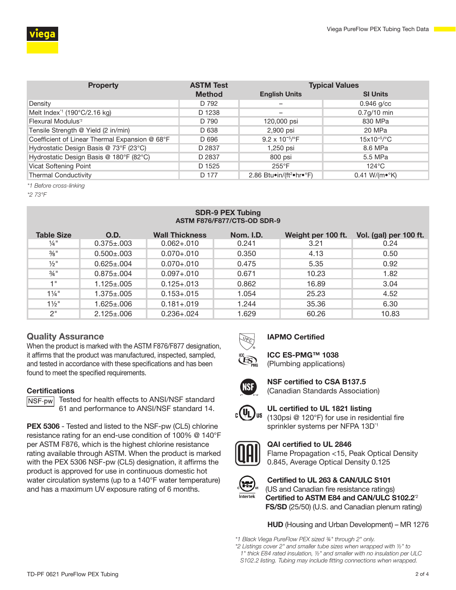

| <b>Property</b>                                | <b>ASTM Test</b> | <b>Typical Values</b>                |                               |  |  |
|------------------------------------------------|------------------|--------------------------------------|-------------------------------|--|--|
|                                                | <b>Method</b>    | <b>English Units</b>                 | <b>SI Units</b>               |  |  |
| Density                                        | D 792            |                                      | $0.946$ g/cc                  |  |  |
| Melt Index <sup>1</sup> (190°C/2.16 kg)        | D 1238           |                                      | $0.7g/10$ min                 |  |  |
| Flexural Modulus <sup>*2</sup>                 | D 790            | 120,000 psi                          | 830 MPa                       |  |  |
| Tensile Strength @ Yield (2 in/min)            | D 638            | 2,900 psi                            | 20 MPa                        |  |  |
| Coefficient of Linear Thermal Expansion @ 68°F | D 696            | $9.2 \times 10^{-5}$ <sup>o</sup> F  | $15x10^{-5/°}C$               |  |  |
| Hydrostatic Design Basis @ 73°F (23°C)         | D 2837           | 1,250 psi                            | 8.6 MPa                       |  |  |
| Hydrostatic Design Basis @ 180°F (82°C)        | D 2837           | 800 psi                              | 5.5 MPa                       |  |  |
| Vicat Softening Point                          | D 1525           | $255^{\circ}$ F                      | $124^{\circ}$ C               |  |  |
| <b>Thermal Conductivity</b>                    | D 177            | 2.86 Btu•in/(ft <sup>2</sup> •hr•°F) | $0.41 W/(m \cdot ^{\circ} K)$ |  |  |

*\*1 Before cross-linking*

*\*2 73°F*

#### SDR-9 PEX Tubing ASTM F876/F877/CTS-OD SDR-9

| <b>Table Size</b> | O.D.              | <b>Wall Thickness</b> | <b>Nom. I.D.</b> | Weight per 100 ft. | Vol. (gal) per 100 ft. |
|-------------------|-------------------|-----------------------|------------------|--------------------|------------------------|
| $\frac{1}{4}$ "   | $0.375 \pm 0.003$ | $0.062 + 010$         | 0.241            | 3.21               | 0.24                   |
| $\frac{3}{8}$ "   | $0.500 \pm 0.003$ | $0.070 + 010$         | 0.350            | 4.13               | 0.50                   |
| $\frac{1}{2}$ "   | $0.625 \pm 0.004$ | $0.070 + 010$         | 0.475            | 5.35               | 0.92                   |
| $\frac{3}{4}$ "   | $0.875 \pm 0.004$ | $0.097 + 010$         | 0.671            | 10.23              | 1.82                   |
| 1 "               | $1.125 \pm 0.005$ | $0.125 + 0.013$       | 0.862            | 16.89              | 3.04                   |
| $1\frac{1}{4}$ "  | $1.375 \pm .005$  | $0.153 + 0.015$       | 1.054            | 25.23              | 4.52                   |
| $1\frac{1}{2}$ "  | 1.625±.006        | $0.181 + 019$         | 1.244            | 35.36              | 6.30                   |
| 2"                | $2.125 \pm 0.06$  | $0.236 + 0.024$       | 1.629            | 60.26              | 10.83                  |

#### Quality Assurance

When the product is marked with the ASTM F876/F877 designation, it affirms that the product was manufactured, inspected, sampled, and tested in accordance with these specifications and has been found to meet the specified requirements.

#### **Certifications**



NSF-pw Tested for health effects to ANSI/NSF standard 61 and performance to ANSI/NSF standard 14.

**PEX 5306** - Tested and listed to the NSF-pw (CL5) chlorine resistance rating for an end-use condition of 100% @ 140°F per ASTM F876, which is the highest chlorine resistance rating available through ASTM. When the product is marked with the PEX 5306 NSF-pw (CL5) designation, it affirms the product is approved for use in continuous domestic hot water circulation systems (up to a 140°F water temperature) and has a maximum UV exposure rating of 6 months.



#### IAPMO Certified

ICC ES-PMG™ 1038 (Plumbing applications)



NSF certified to CSA B137.5 (Canadian Standards Association)



UL certified to UL 1821 listing (130psi @ 120°F) for use in residential fire sprinkler systems per NFPA 13D<sup>\*1</sup>



QAI certified to UL 2846 Flame Propagation <15, Peak Optical Density 0.845, Average Optical Density 0.125



Certified to UL 263 & CAN/ULC S101 (US and Canadian fire resistance ratings) Certified to ASTM E84 and CAN/ULC S102.2<sup>2</sup> FS/SD (25/50) (U.S. and Canadian plenum rating)

HUD (Housing and Urban Development) – MR 1276

*\*1 Black Viega PureFlow PEX sized ¾" through 2" only.*

*\*2 Listings cover 2" and smaller tube sizes when wrapped with ½" to 1" thick E84 rated insulation, ½" and smaller with no insulation per ULC S102.2 listing. Tubing may include fitting connections when wrapped.*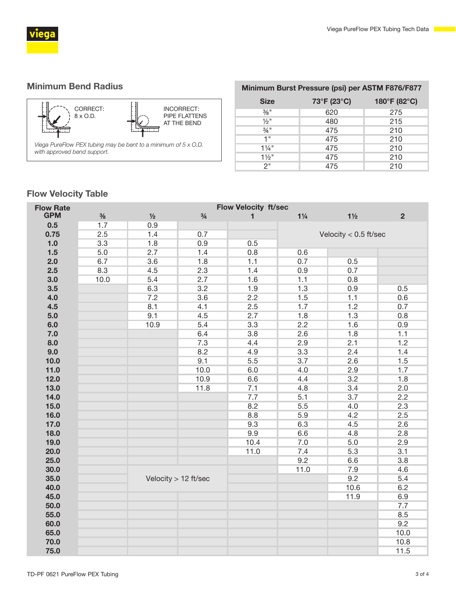

## Minimum Bend Radius



| Minimum Burst Pressure (psi) per ASTM F876/F877 |             |              |  |  |  |  |
|-------------------------------------------------|-------------|--------------|--|--|--|--|
| <b>Size</b>                                     | 73°F (23°C) | 180°F (82°C) |  |  |  |  |
| $\frac{3}{8}$ "                                 | 620         | 275          |  |  |  |  |
| $\frac{1}{2}$ "                                 | 480         | 215          |  |  |  |  |
| $\frac{3}{4}$ "                                 | 475         | 210          |  |  |  |  |
| 1"                                              | 475         | 210          |  |  |  |  |
| $1\frac{1}{4}$ "                                | 475         | 210          |  |  |  |  |
| $1\frac{1}{2}$ "                                | 475         | 210          |  |  |  |  |
| 2"                                              | 475         | 210          |  |  |  |  |

# Flow Velocity Table

| <b>Flow Rate</b> | <b>Flow Velocity ft/sec</b> |                      |               |      |                         |                |                |  |
|------------------|-----------------------------|----------------------|---------------|------|-------------------------|----------------|----------------|--|
| <b>GPM</b>       | $\frac{3}{8}$               | 1/2                  | $\frac{3}{4}$ | 1    | $1\frac{1}{4}$          | $1\frac{1}{2}$ | $\overline{2}$ |  |
| 0.5              | 1.7                         | 0.9                  |               |      |                         |                |                |  |
| 0.75             | 2.5                         | 1.4                  | 0.7           |      | Velocity $< 0.5$ ft/sec |                |                |  |
| 1.0              | 3.3                         | 1.8                  | 0.9           | 0.5  |                         |                |                |  |
| 1.5              | 5.0                         | 2.7                  | 1.4           | 0.8  | 0.6                     |                |                |  |
| 2.0              | 6.7                         | 3.6                  | 1.8           | 1.1  | 0.7                     | 0.5            |                |  |
| 2.5              | 8.3                         | 4.5                  | 2.3           | 1.4  | 0.9                     | 0.7            |                |  |
| 3.0              | 10.0                        | 5.4                  | 2.7           | 1.6  | 1.1                     | 0.8            |                |  |
| 3.5              |                             | 6.3                  | 3.2           | 1.9  | 1.3                     | 0.9            | 0.5            |  |
| 4.0              |                             | 7.2                  | 3.6           | 2.2  | 1.5                     | 1.1            | 0.6            |  |
| 4.5              |                             | 8.1                  | 4.1           | 2.5  | 1.7                     | 1.2            | 0.7            |  |
| 5.0              |                             | 9.1                  | 4.5           | 2.7  | 1.8                     | 1.3            | 0.8            |  |
| 6.0              |                             | 10.9                 | 5.4           | 3.3  | 2.2                     | 1.6            | 0.9            |  |
| 7.0              |                             |                      | 6.4           | 3.8  | 2.6                     | 1.8            | 1.1            |  |
| 8.0              |                             |                      | 7.3           | 4.4  | 2.9                     | 2.1            | 1.2            |  |
| 9.0              |                             |                      | 8.2           | 4.9  | 3.3                     | 2.4            | 1.4            |  |
| 10.0             |                             |                      | 9.1           | 5.5  | 3.7                     | 2.6            | 1.5            |  |
| $11.0$           |                             |                      | 10.0          | 6.0  | 4.0                     | 2.9            | 1.7            |  |
| 12.0             |                             |                      | 10.9          | 6.6  | 4.4                     | 3.2            | 1.8            |  |
| 13.0             |                             |                      | 11.8          | 7.1  | 4.8                     | 3.4            | 2.0            |  |
| 14.0             |                             |                      |               | 7.7  | 5.1                     | 3.7            | 2.2            |  |
| $15.0$           |                             |                      |               | 8.2  | 5.5                     | 4.0            | 2.3            |  |
| 16.0             |                             |                      |               | 8.8  | 5.9                     | 4.2            | 2.5            |  |
| 17.0             |                             |                      |               | 9.3  | 6.3                     | 4.5            | 2.6            |  |
| 18.0             |                             |                      |               | 9.9  | 6.6                     | 4.8            | 2.8            |  |
| 19.0             |                             |                      |               | 10.4 | 7.0                     | 5.0            | 2.9            |  |
| 20.0             |                             |                      |               | 11.0 | 7.4                     | 5.3            | 3.1            |  |
| 25.0             |                             |                      |               |      | 9.2                     | 6.6            | 3.8            |  |
| 30.0             |                             |                      |               |      | 11.0                    | 7.9            | 4.6            |  |
| 35.0             |                             | Velocity > 12 ft/sec |               |      |                         | 9.2            | 5.4            |  |
| 40.0             |                             |                      |               |      |                         | 10.6           | 6.2            |  |
| 45.0             |                             |                      |               |      |                         | 11.9           | 6.9            |  |
| 50.0             |                             |                      |               |      |                         |                | 7.7            |  |
| 55.0             |                             |                      |               |      |                         |                | 8.5            |  |
| 60.0             |                             |                      |               |      |                         |                | 9.2            |  |
| 65.0             |                             |                      |               |      |                         |                | 10.0           |  |
| 70.0             |                             |                      |               |      |                         |                | 10.8           |  |
| 75.0             |                             |                      |               |      |                         |                | 11.5           |  |